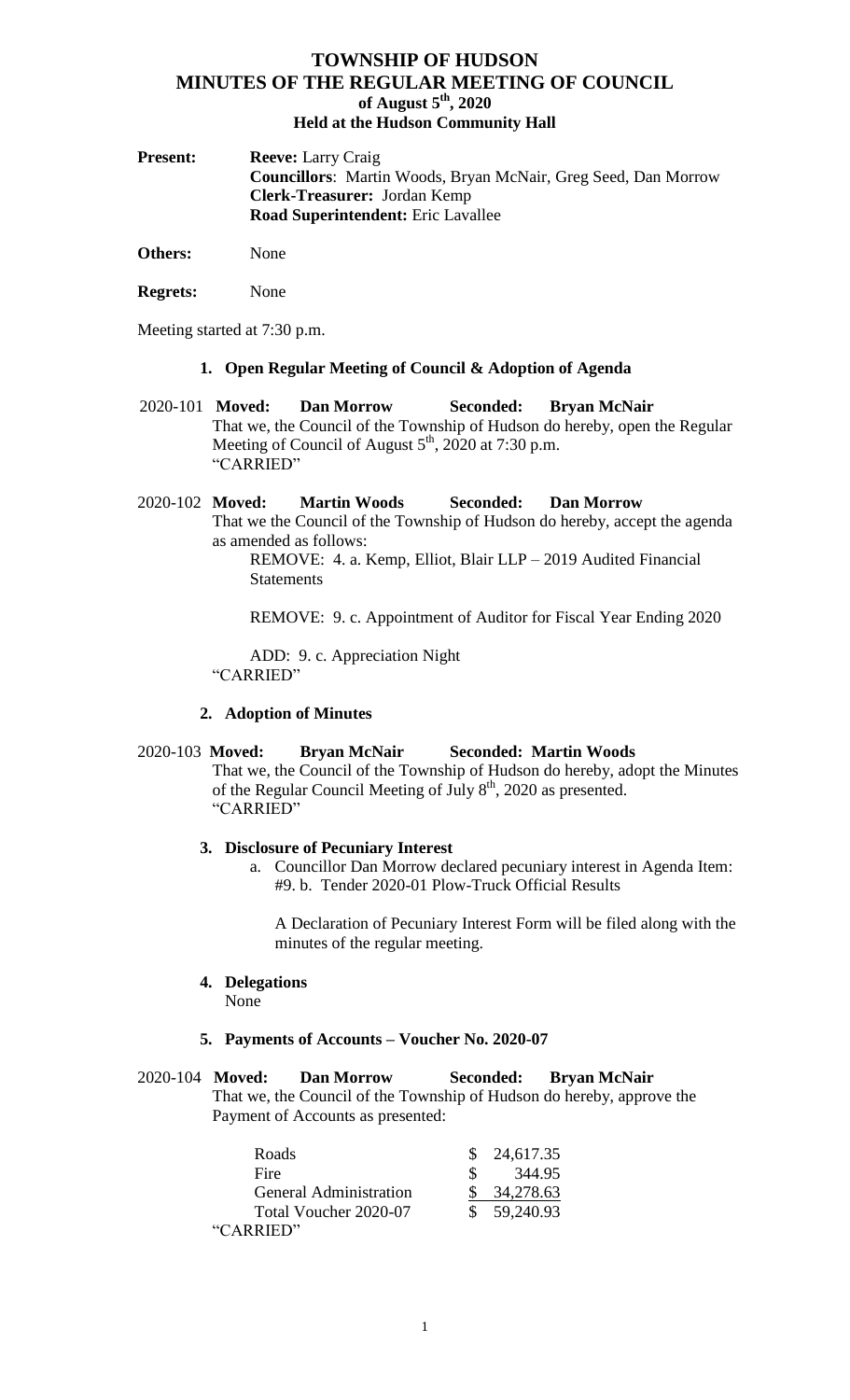| <b>Present:</b> | <b>Reeve:</b> Larry Craig                                             |
|-----------------|-----------------------------------------------------------------------|
|                 | <b>Councillors:</b> Martin Woods, Bryan McNair, Greg Seed, Dan Morrow |
|                 | <b>Clerk-Treasurer:</b> Jordan Kemp                                   |
|                 | <b>Road Superintendent:</b> Eric Lavallee                             |
|                 |                                                                       |

**Others:** None

**Regrets:** None

Meeting started at 7:30 p.m.

#### **1. Open Regular Meeting of Council & Adoption of Agenda**

 2020-101 **Moved: Dan Morrow Seconded: Bryan McNair** That we, the Council of the Township of Hudson do hereby, open the Regular Meeting of Council of August  $5<sup>th</sup>$ , 2020 at 7:30 p.m. "CARRIED"

2020-102 **Moved: Martin Woods Seconded: Dan Morrow** That we the Council of the Township of Hudson do hereby, accept the agenda as amended as follows:

REMOVE: 4. a. Kemp, Elliot, Blair LLP – 2019 Audited Financial **Statements** 

REMOVE: 9. c. Appointment of Auditor for Fiscal Year Ending 2020

ADD: 9. c. Appreciation Night "CARRIED"

### **2. Adoption of Minutes**

### 2020-103 **Moved: Bryan McNair Seconded: Martin Woods**

That we, the Council of the Township of Hudson do hereby, adopt the Minutes of the Regular Council Meeting of July 8<sup>th</sup>, 2020 as presented. "CARRIED"

#### **3. Disclosure of Pecuniary Interest**

a. Councillor Dan Morrow declared pecuniary interest in Agenda Item: #9. b. Tender 2020-01 Plow-Truck Official Results

A Declaration of Pecuniary Interest Form will be filed along with the minutes of the regular meeting.

**4. Delegations** None

### **5. Payments of Accounts – Voucher No. 2020-07**

### 2020-104 **Moved: Dan Morrow Seconded: Bryan McNair** That we, the Council of the Township of Hudson do hereby, approve the Payment of Accounts as presented:

| Roads                         | 24,617.35   |
|-------------------------------|-------------|
| Fire                          | 344.95      |
| <b>General Administration</b> | 34,278.63   |
| Total Voucher 2020-07         | \$59,240.93 |
| "CARRIED"                     |             |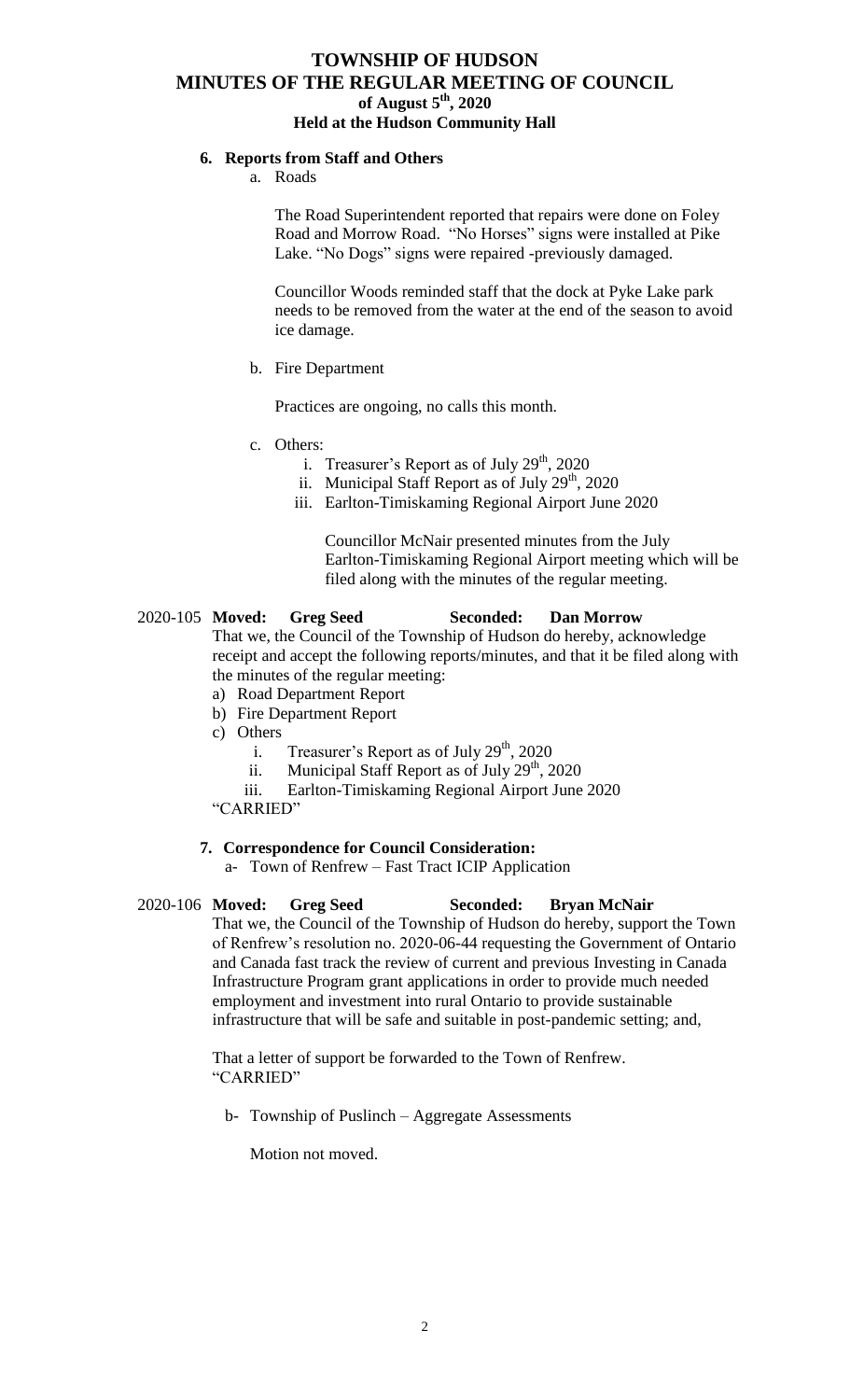## **6. Reports from Staff and Others**

### a. Roads

The Road Superintendent reported that repairs were done on Foley Road and Morrow Road. "No Horses" signs were installed at Pike Lake. "No Dogs" signs were repaired -previously damaged.

Councillor Woods reminded staff that the dock at Pyke Lake park needs to be removed from the water at the end of the season to avoid ice damage.

### b. Fire Department

Practices are ongoing, no calls this month.

- c. Others:
	- i. Treasurer's Report as of July  $29<sup>th</sup>$ , 2020
	- ii. Municipal Staff Report as of July  $29<sup>th</sup>$ , 2020
	- iii. Earlton-Timiskaming Regional Airport June 2020

Councillor McNair presented minutes from the July Earlton-Timiskaming Regional Airport meeting which will be filed along with the minutes of the regular meeting.

# 2020-105 **Moved: Greg Seed Seconded: Dan Morrow**

That we, the Council of the Township of Hudson do hereby, acknowledge receipt and accept the following reports/minutes, and that it be filed along with the minutes of the regular meeting:

- a) Road Department Report
- b) Fire Department Report
- c) Others
	- i. Treasurer's Report as of July  $29<sup>th</sup>$ , 2020
	- ii. Municipal Staff Report as of July  $29<sup>th</sup>$ , 2020
	- iii. Earlton-Timiskaming Regional Airport June 2020

"CARRIED"

# **7. Correspondence for Council Consideration:**

a- Town of Renfrew – Fast Tract ICIP Application

# 2020-106 **Moved: Greg Seed Seconded: Bryan McNair**

That we, the Council of the Township of Hudson do hereby, support the Town of Renfrew's resolution no. 2020-06-44 requesting the Government of Ontario and Canada fast track the review of current and previous Investing in Canada Infrastructure Program grant applications in order to provide much needed employment and investment into rural Ontario to provide sustainable infrastructure that will be safe and suitable in post-pandemic setting; and,

That a letter of support be forwarded to the Town of Renfrew. "CARRIED"

b- Township of Puslinch – Aggregate Assessments

Motion not moved.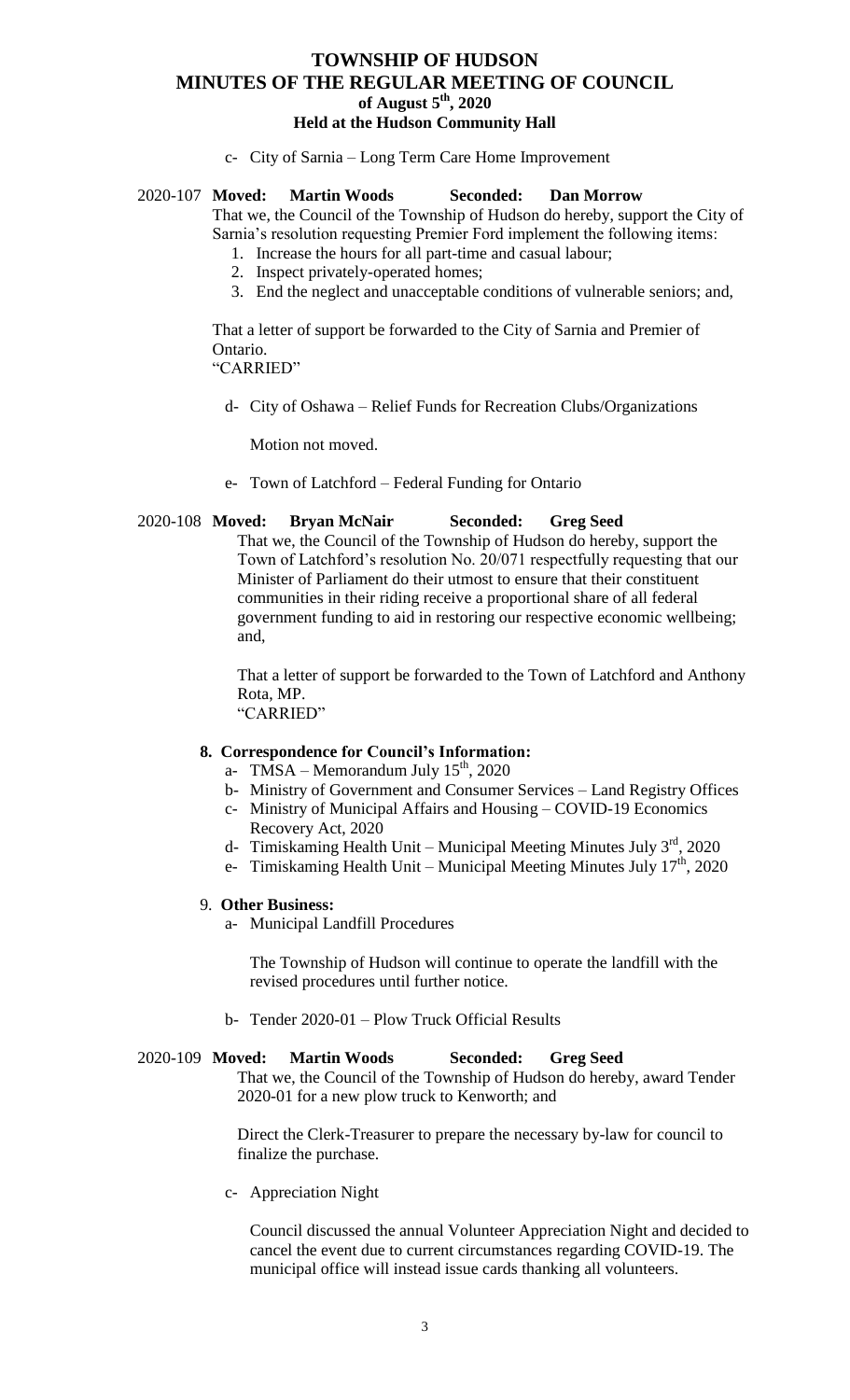c- City of Sarnia – Long Term Care Home Improvement

#### 2020-107 **Moved: Martin Woods Seconded: Dan Morrow**

That we, the Council of the Township of Hudson do hereby, support the City of Sarnia's resolution requesting Premier Ford implement the following items:

- 1. Increase the hours for all part-time and casual labour;
- 2. Inspect privately-operated homes;
- 3. End the neglect and unacceptable conditions of vulnerable seniors; and,

That a letter of support be forwarded to the City of Sarnia and Premier of Ontario.

"CARRIED"

d- City of Oshawa – Relief Funds for Recreation Clubs/Organizations

Motion not moved.

e- Town of Latchford – Federal Funding for Ontario

#### 2020-108 **Moved: Bryan McNair Seconded: Greg Seed**

That we, the Council of the Township of Hudson do hereby, support the Town of Latchford's resolution No. 20/071 respectfully requesting that our Minister of Parliament do their utmost to ensure that their constituent communities in their riding receive a proportional share of all federal government funding to aid in restoring our respective economic wellbeing; and,

That a letter of support be forwarded to the Town of Latchford and Anthony Rota, MP. "CARRIED"

#### **8. Correspondence for Council's Information:**

- a- TMSA Memorandum July  $15<sup>th</sup>$ , 2020
- b- Ministry of Government and Consumer Services Land Registry Offices
- c- Ministry of Municipal Affairs and Housing COVID-19 Economics Recovery Act, 2020
- d- Timiskaming Health Unit Municipal Meeting Minutes July  $3^{rd}$ , 2020
- e- Timiskaming Health Unit Municipal Meeting Minutes July  $17<sup>th</sup>$ , 2020

#### 9. **Other Business:**

a- Municipal Landfill Procedures

The Township of Hudson will continue to operate the landfill with the revised procedures until further notice.

b- Tender 2020-01 – Plow Truck Official Results

#### 2020-109 **Moved: Martin Woods Seconded: Greg Seed**

That we, the Council of the Township of Hudson do hereby, award Tender 2020-01 for a new plow truck to Kenworth; and

Direct the Clerk-Treasurer to prepare the necessary by-law for council to finalize the purchase.

c- Appreciation Night

Council discussed the annual Volunteer Appreciation Night and decided to cancel the event due to current circumstances regarding COVID-19. The municipal office will instead issue cards thanking all volunteers.